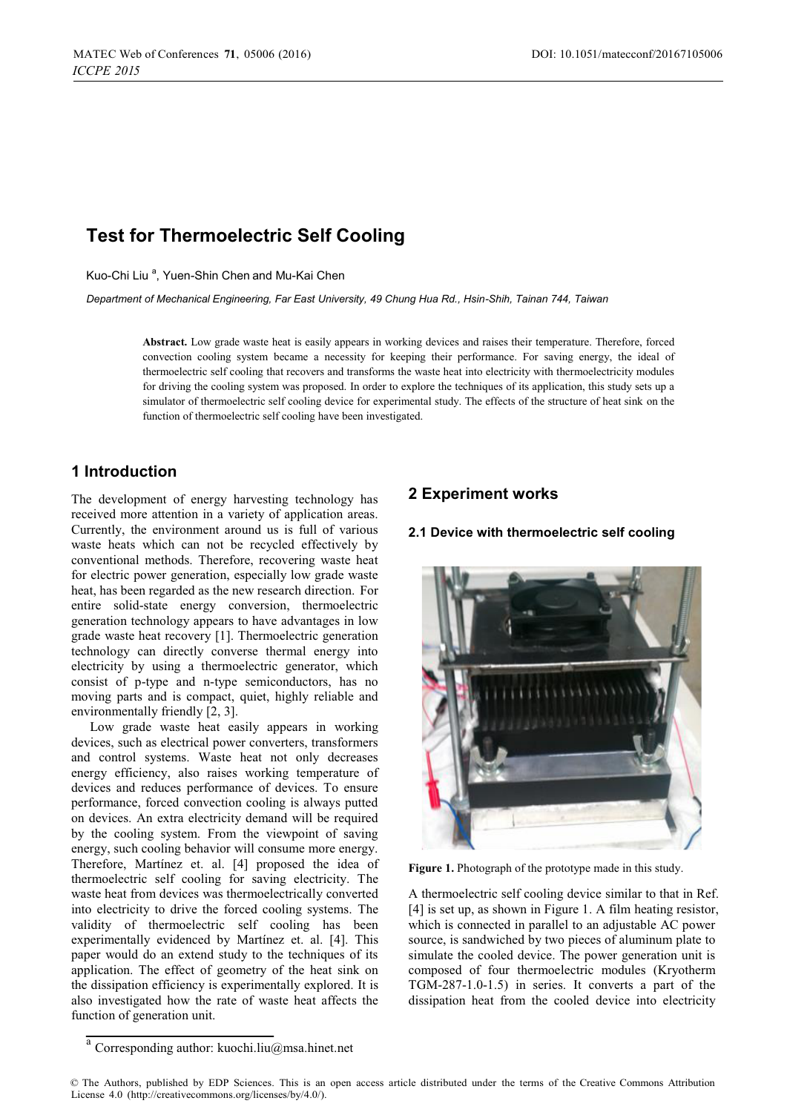# **Test for Thermoelectric Self Cooling**

Kuo-Chi Liu<sup>a</sup>. Yuen-Shin Chen and Mu-Kai Chen

*Department of Mechanical Engineering, Far East University, 49 Chung Hua Rd., Hsin-Shih, Tainan 744, Taiwan* 

**Abstract.** Low grade waste heat is easily appears in working devices and raises their temperature. Therefore, forced convection cooling system became a necessity for keeping their performance. For saving energy, the ideal of thermoelectric self cooling that recovers and transforms the waste heat into electricity with thermoelectricity modules for driving the cooling system was proposed. In order to explore the techniques of its application, this study sets up a simulator of thermoelectric self cooling device for experimental study. The effects of the structure of heat sink on the function of thermoelectric self cooling have been investigated.

# **1 Introduction**

The development of energy harvesting technology has received more attention in a variety of application areas. Currently, the environment around us is full of various waste heats which can not be recycled effectively by conventional methods. Therefore, recovering waste heat for electric power generation, especially low grade waste heat, has been regarded as the new research direction. For entire solid-state energy conversion, thermoelectric generation technology appears to have advantages in low grade waste heat recovery [1]. Thermoelectric generation technology can directly converse thermal energy into electricity by using a thermoelectric generator, which consist of p-type and n-type semiconductors, has no moving parts and is compact, quiet, highly reliable and environmentally friendly [2, 3].

Low grade waste heat easily appears in working devices, such as electrical power converters, transformers and control systems. Waste heat not only decreases energy efficiency, also raises working temperature of devices and reduces performance of devices. To ensure performance, forced convection cooling is always putted on devices. An extra electricity demand will be required by the cooling system. From the viewpoint of saving energy, such cooling behavior will consume more energy. Therefore, Martínez et. al. [4] proposed the idea of thermoelectric self cooling for saving electricity. The waste heat from devices was thermoelectrically converted into electricity to drive the forced cooling systems. The validity of thermoelectric self cooling has been experimentally evidenced by Martínez et. al. [4]. This paper would do an extend study to the techniques of its application. The effect of geometry of the heat sink on the dissipation efficiency is experimentally explored. It is also investigated how the rate of waste heat affects the function of generation unit.

### **2 Experiment works**

#### **2.1 Device with thermoelectric self cooling**



**Figure 1.** Photograph of the prototype made in this study.

A thermoelectric self cooling device similar to that in Ref. [4] is set up, as shown in Figure 1. A film heating resistor, which is connected in parallel to an adjustable AC power source, is sandwiched by two pieces of aluminum plate to simulate the cooled device. The power generation unit is composed of four thermoelectric modules (Kryotherm TGM-287-1.0-1.5) in series. It converts a part of the dissipation heat from the cooled device into electricity

<sup>&</sup>lt;sup>a</sup> Corresponding author: kuochi.liu@msa.hinet.net

<sup>©</sup> The Authors, published by EDP Sciences. This is an open access article distributed under the terms of the Creative Commons Attribution License 4.0 (http://creativecommons.org/licenses/by/4.0/).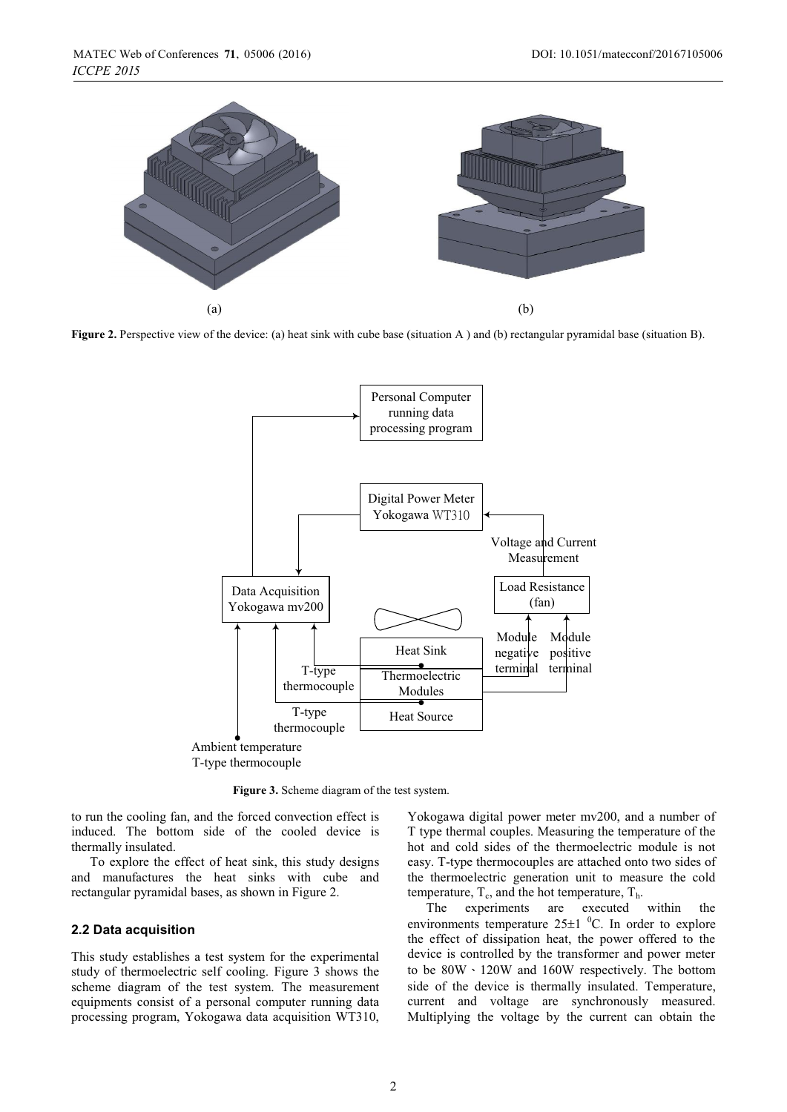

**Figure 2.** Perspective view of the device: (a) heat sink with cube base (situation A ) and (b) rectangular pyramidal base (situation B).



**Figure 3.** Scheme diagram of the test system.

to run the cooling fan, and the forced convection effect is induced. The bottom side of the cooled device is thermally insulated.

To explore the effect of heat sink, this study designs and manufactures the heat sinks with cube and rectangular pyramidal bases, as shown in Figure 2.

#### **2.2 Data acquisition**

This study establishes a test system for the experimental study of thermoelectric self cooling. Figure 3 shows the scheme diagram of the test system. The measurement equipments consist of a personal computer running data processing program, Yokogawa data acquisition WT310, Yokogawa digital power meter mv200, and a number of T type thermal couples. Measuring the temperature of the hot and cold sides of the thermoelectric module is not easy. T-type thermocouples are attached onto two sides of the thermoelectric generation unit to measure the cold temperature,  $T_c$ , and the hot temperature,  $T_h$ .

The experiments are executed within the environments temperature  $25\pm1$  <sup>0</sup>C. In order to explore the effect of dissipation heat, the power offered to the device is controlled by the transformer and power meter to be  $80W \cdot 120W$  and 160W respectively. The bottom side of the device is thermally insulated. Temperature, current and voltage are synchronously measured. Multiplying the voltage by the current can obtain the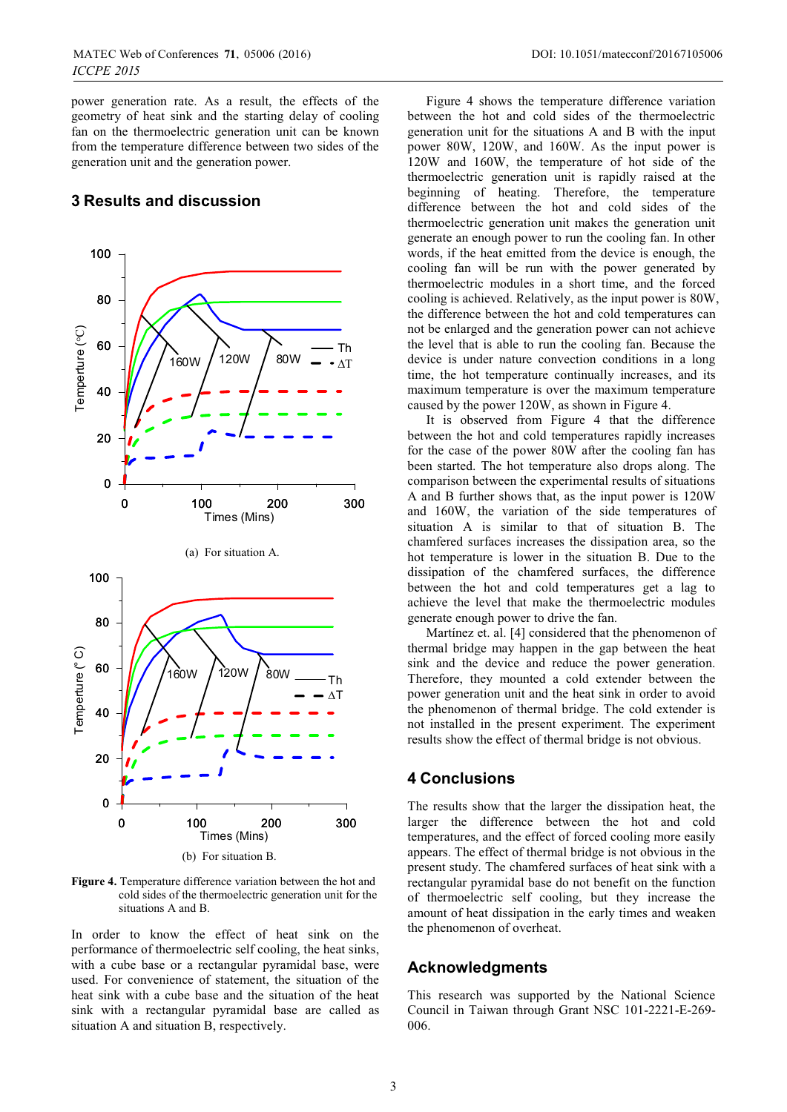power generation rate. As a result, the effects of the geometry of heat sink and the starting delay of cooling fan on the thermoelectric generation unit can be known from the temperature difference between two sides of the generation unit and the generation power.

#### **3 Results and discussion**



**Figure 4.** Temperature difference variation between the hot and cold sides of the thermoelectric generation unit for the situations A and B.

In order to know the effect of heat sink on the performance of thermoelectric self cooling, the heat sinks, with a cube base or a rectangular pyramidal base, were used. For convenience of statement, the situation of the heat sink with a cube base and the situation of the heat sink with a rectangular pyramidal base are called as situation A and situation B, respectively.

Figure 4 shows the temperature difference variation between the hot and cold sides of the thermoelectric generation unit for the situations A and B with the input power 80W, 120W, and 160W. As the input power is 120W and 160W, the temperature of hot side of the thermoelectric generation unit is rapidly raised at the beginning of heating. Therefore, the temperature difference between the hot and cold sides of the thermoelectric generation unit makes the generation unit generate an enough power to run the cooling fan. In other words, if the heat emitted from the device is enough, the cooling fan will be run with the power generated by thermoelectric modules in a short time, and the forced cooling is achieved. Relatively, as the input power is 80W, the difference between the hot and cold temperatures can not be enlarged and the generation power can not achieve the level that is able to run the cooling fan. Because the device is under nature convection conditions in a long time, the hot temperature continually increases, and its maximum temperature is over the maximum temperature caused by the power 120W, as shown in Figure 4.

It is observed from Figure 4 that the difference between the hot and cold temperatures rapidly increases for the case of the power 80W after the cooling fan has been started. The hot temperature also drops along. The comparison between the experimental results of situations A and B further shows that, as the input power is 120W and 160W, the variation of the side temperatures of situation A is similar to that of situation B. The chamfered surfaces increases the dissipation area, so the hot temperature is lower in the situation B. Due to the dissipation of the chamfered surfaces, the difference between the hot and cold temperatures get a lag to achieve the level that make the thermoelectric modules generate enough power to drive the fan.

Martínez et. al. [4] considered that the phenomenon of thermal bridge may happen in the gap between the heat sink and the device and reduce the power generation. Therefore, they mounted a cold extender between the power generation unit and the heat sink in order to avoid the phenomenon of thermal bridge. The cold extender is not installed in the present experiment. The experiment results show the effect of thermal bridge is not obvious.

#### **4 Conclusions**

The results show that the larger the dissipation heat, the larger the difference between the hot and cold temperatures, and the effect of forced cooling more easily appears. The effect of thermal bridge is not obvious in the present study. The chamfered surfaces of heat sink with a rectangular pyramidal base do not benefit on the function of thermoelectric self cooling, but they increase the amount of heat dissipation in the early times and weaken the phenomenon of overheat.

#### **Acknowledgments**

This research was supported by the National Science Council in Taiwan through Grant NSC 101-2221-E-269- 006.